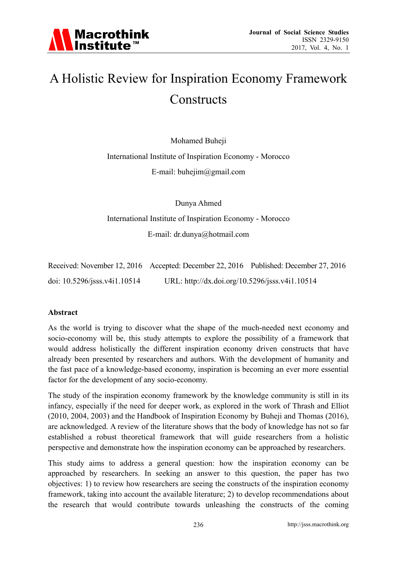

# A Holistic Review for Inspiration Economy Framework **Constructs**

Mohamed Buheji International Institute of Inspiration Economy - Morocco E-mail: buhejim@gmail.com

Dunya Ahmed

International Institute of Inspiration Economy - Morocco E-mail: dr.dunya@hotmail.com

|                                 | Received: November 12, 2016 Accepted: December 22, 2016 Published: December 27, 2016 |  |
|---------------------------------|--------------------------------------------------------------------------------------|--|
| doi: $10.5296$ /jsss.v4i1.10514 | URL: http://dx.doi.org/10.5296/jsss.v4i1.10514                                       |  |

## **Abstract**

As the world is trying to discover what the shape of the much-needed next economy and socio-economy will be, this study attempts to explore the possibility of a framework that would address holistically the different inspiration economy driven constructs that have already been presented by researchers and authors. With the development of humanity and the fast pace of a knowledge-based economy, inspiration is becoming an ever more essential factor for the development of any socio-economy.

The study of the inspiration economy framework by the knowledge community is still in its infancy, especially if the need for deeper work, as explored in the work of Thrash and Elliot (2010, 2004, 2003) and the Handbook of Inspiration Economy by Buheji and Thomas (2016), are acknowledged. A review of the literature shows that the body of knowledge has not so far established a robust theoretical framework that will guide researchers from a holistic perspective and demonstrate how the inspiration economy can be approached by researchers.

This study aims to address a general question: how the inspiration economy can be approached by researchers. In seeking an answer to this question, the paper has two objectives: 1) to review how researchers are seeing the constructs of the inspiration economy framework, taking into account the available literature; 2) to develop recommendations about the research that would contribute towards unleashing the constructs of the coming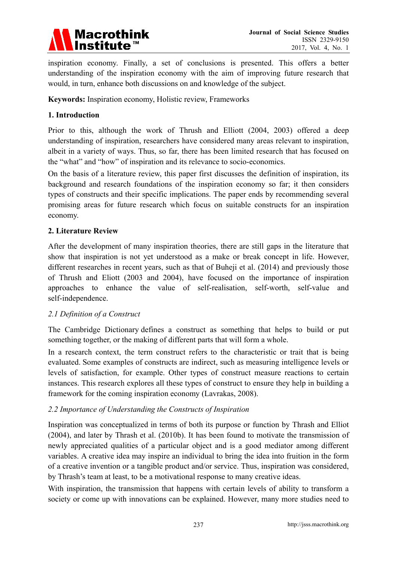

inspiration economy. Finally, a set of conclusions is presented. This offers a better understanding of the inspiration economy with the aim of improving future research that would, in turn, enhance both discussions on and knowledge of the subject.

**Keywords:** Inspiration economy, Holistic review, Frameworks

## **1. Introduction**

Prior to this, although the work of Thrush and Elliott (2004, 2003) offered a deep understanding of inspiration, researchers have considered many areas relevant to inspiration, albeit in a variety of ways. Thus, so far, there has been limited research that has focused on the "what" and "how" of inspiration and its relevance to socio-economics.

On the basis of a literature review, this paper first discusses the definition of inspiration, its background and research foundations of the inspiration economy so far; it then considers types of constructs and their specific implications. The paper ends by recommending several promising areas for future research which focus on suitable constructs for an inspiration economy.

## **2. Literature Review**

After the development of many inspiration theories, there are still gaps in the literature that show that inspiration is not yet understood as a make or break concept in life. However, different researches in recent years, such as that of Buheji et al. (2014) and previously those of Thrush and Eliott (2003 and 2004), have focused on the importance of inspiration approaches to enhance the value of self-realisation, self-worth, self-value and self-independence.

## *2.1 Definition of a Construct*

The Cambridge Dictionary defines a construct as something that helps to build or put something together, or the making of different parts that will form a whole.

In a research context, the term construct refers to the characteristic or trait that is being evaluated. Some examples of constructs are indirect, such as measuring intelligence levels or levels of satisfaction, for example. Other types of construct measure reactions to certain instances. This research explores all these types of construct to ensure they help in building a framework for the coming inspiration economy (Lavrakas, 2008).

## *2.2 Importance of Understanding the Constructs of Inspiration*

Inspiration was conceptualized in terms of both its purpose or function by Thrash and Elliot (2004), and later by Thrash et al. (2010b). It has been found to motivate the transmission of newly appreciated qualities of a particular object and is a good mediator among different variables. A creative idea may inspire an individual to bring the idea into fruition in the form of a creative invention or a tangible product and/or service. Thus, inspiration was considered, by Thrash's team at least, to be a motivational response to many creative ideas.

With inspiration, the transmission that happens with certain levels of ability to transform a society or come up with innovations can be explained. However, many more studies need to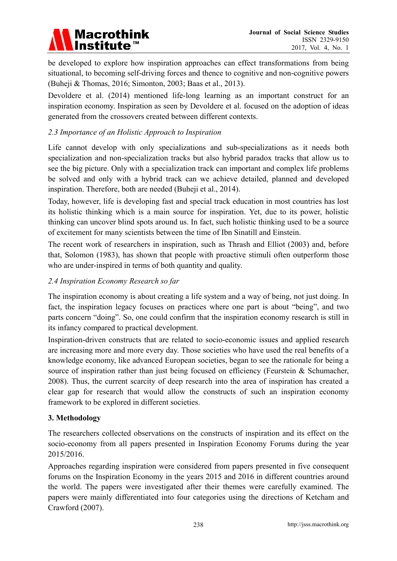

be developed to explore how inspiration approaches can effect transformations from being situational, to becoming self-driving forces and thence to cognitive and non-cognitive powers (Buheji & Thomas, 2016; Simonton, 2003; Baas et al., 2013).

Devoldere et al. (2014) mentioned life-long learning as an important construct for an inspiration economy. Inspiration as seen by Devoldere et al. focused on the adoption of ideas generated from the crossovers created between different contexts.

## *2.3 Importance of an Holistic Approach to Inspiration*

Life cannot develop with only specializations and sub-specializations as it needs both specialization and non-specialization tracks but also hybrid paradox tracks that allow us to see the big picture. Only with a specialization track can important and complex life problems be solved and only with a hybrid track can we achieve detailed, planned and developed inspiration. Therefore, both are needed (Buheji et al., 2014).

Today, however, life is developing fast and special track education in most countries has lost its holistic thinking which is a main source for inspiration. Yet, due to its power, holistic thinking can uncover blind spots around us. In fact, such holistic thinking used to be a source of excitement for many scientists between the time of Ibn Sinatill and Einstein.

The recent work of researchers in inspiration, such as Thrash and Elliot (2003) and, before that, Solomon (1983), has shown that people with proactive stimuli often outperform those who are under-inspired in terms of both quantity and quality.

## *2.4 Inspiration Economy Research so far*

The inspiration economy is about creating a life system and a way of being, not just doing. In fact, the inspiration legacy focuses on practices where one part is about "being", and two parts concern "doing". So, one could confirm that the inspiration economy research is still in its infancy compared to practical development.

Inspiration-driven constructs that are related to socio-economic issues and applied research are increasing more and more every day. Those societies who have used the real benefits of a knowledge economy, like advanced European societies, began to see the rationale for being a source of inspiration rather than just being focused on efficiency (Feurstein & Schumacher, 2008). Thus, the current scarcity of deep research into the area of inspiration has created a clear gap for research that would allow the constructs of such an inspiration economy framework to be explored in different societies.

## **3. Methodology**

The researchers collected observations on the constructs of inspiration and its effect on the socio-economy from all papers presented in Inspiration Economy Forums during the year 2015/2016.

Approaches regarding inspiration were considered from papers presented in five consequent forums on the Inspiration Economy in the years 2015 and 2016 in different countries around the world. The papers were investigated after their themes were carefully examined. The papers were mainly differentiated into four categories using the directions of Ketcham and Crawford (2007).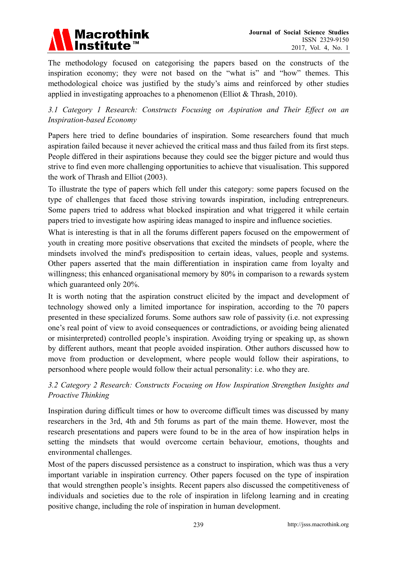

The methodology focused on categorising the papers based on the constructs of the inspiration economy; they were not based on the "what is" and "how" themes. This methodological choice was justified by the study's aims and reinforced by other studies applied in investigating approaches to a phenomenon (Elliot & Thrash, 2010).

*3.1 Category 1 Research: Constructs Focusing on Aspiration and Their Effect on an Inspiration-based Economy* 

Papers here tried to define boundaries of inspiration. Some researchers found that much aspiration failed because it never achieved the critical mass and thus failed from its first steps. People differed in their aspirations because they could see the bigger picture and would thus strive to find even more challenging opportunities to achieve that visualisation. This suppored the work of Thrash and Elliot (2003).

To illustrate the type of papers which fell under this category: some papers focused on the type of challenges that faced those striving towards inspiration, including entrepreneurs. Some papers tried to address what blocked inspiration and what triggered it while certain papers tried to investigate how aspiring ideas managed to inspire and influence societies.

What is interesting is that in all the forums different papers focused on the empowerment of youth in creating more positive observations that excited the mindsets of people, where the mindsets involved the mind's predisposition to certain ideas, values, people and systems. Other papers asserted that the main differentiation in inspiration came from loyalty and willingness; this enhanced organisational memory by 80% in comparison to a rewards system which guaranteed only 20%.

It is worth noting that the aspiration construct elicited by the impact and development of technology showed only a limited importance for inspiration, according to the 70 papers presented in these specialized forums. Some authors saw role of passivity (i.e. not expressing one's real point of view to avoid consequences or contradictions, or avoiding being alienated or misinterpreted) controlled people's inspiration. Avoiding trying or speaking up, as shown by different authors, meant that people avoided inspiration. Other authors discussed how to move from production or development, where people would follow their aspirations, to personhood where people would follow their actual personality: i.e. who they are.

## *3.2 Category 2 Research: Constructs Focusing on How Inspiration Strengthen Insights and Proactive Thinking*

Inspiration during difficult times or how to overcome difficult times was discussed by many researchers in the 3rd, 4th and 5th forums as part of the main theme. However, most the research presentations and papers were found to be in the area of how inspiration helps in setting the mindsets that would overcome certain behaviour, emotions, thoughts and environmental challenges.

Most of the papers discussed persistence as a construct to inspiration, which was thus a very important variable in inspiration currency. Other papers focused on the type of inspiration that would strengthen people's insights. Recent papers also discussed the competitiveness of individuals and societies due to the role of inspiration in lifelong learning and in creating positive change, including the role of inspiration in human development.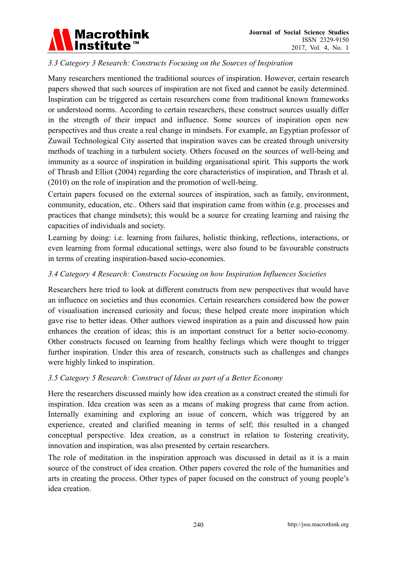

# *3.3 Category 3 Research: Constructs Focusing on the Sources of Inspiration*

Many researchers mentioned the traditional sources of inspiration. However, certain research papers showed that such sources of inspiration are not fixed and cannot be easily determined. Inspiration can be triggered as certain researchers come from traditional known frameworks or understood norms. According to certain researchers, these construct sources usually differ in the strength of their impact and influence. Some sources of inspiration open new perspectives and thus create a real change in mindsets. For example, an Egyptian professor of Zuwail Technological City asserted that inspiration waves can be created through university methods of teaching in a turbulent society. Others focused on the sources of well-being and immunity as a source of inspiration in building organisational spirit. This supports the work of Thrash and Elliot (2004) regarding the core characteristics of inspiration, and Thrash et al. (2010) on the role of inspiration and the promotion of well-being.

Certain papers focused on the external sources of inspiration, such as family, environment, community, education, etc.. Others said that inspiration came from within (e.g. processes and practices that change mindsets); this would be a source for creating learning and raising the capacities of individuals and society.

Learning by doing: i.e. learning from failures, holistic thinking, reflections, interactions, or even learning from formal educational settings, were also found to be favourable constructs in terms of creating inspiration-based socio-economies.

## *3.4 Category 4 Research: Constructs Focusing on how Inspiration Influences Societies*

Researchers here tried to look at different constructs from new perspectives that would have an influence on societies and thus economies. Certain researchers considered how the power of visualisation increased curiosity and focus; these helped create more inspiration which gave rise to better ideas. Other authors viewed inspiration as a pain and discussed how pain enhances the creation of ideas; this is an important construct for a better socio-economy. Other constructs focused on learning from healthy feelings which were thought to trigger further inspiration. Under this area of research, constructs such as challenges and changes were highly linked to inspiration.

## *3.5 Category 5 Research: Construct of Ideas as part of a Better Economy*

Here the researchers discussed mainly how idea creation as a construct created the stimuli for inspiration. Idea creation was seen as a means of making progress that came from action. Internally examining and exploring an issue of concern, which was triggered by an experience, created and clarified meaning in terms of self; this resulted in a changed conceptual perspective. Idea creation, as a construct in relation to fostering creativity, innovation and inspiration, was also presented by certain researchers.

The role of meditation in the inspiration approach was discussed in detail as it is a main source of the construct of idea creation. Other papers covered the role of the humanities and arts in creating the process. Other types of paper focused on the construct of young people's idea creation.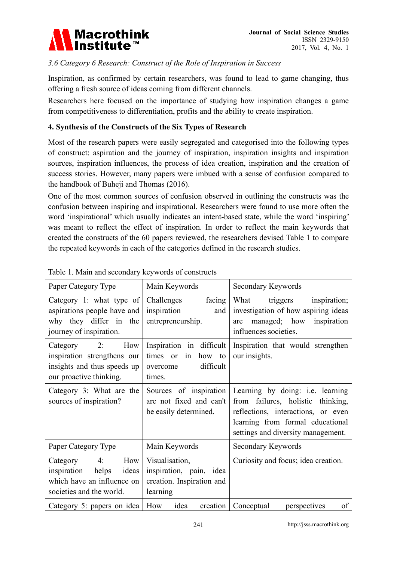

## *3.6 Category 6 Research: Construct of the Role of Inspiration in Success*

Inspiration, as confirmed by certain researchers, was found to lead to game changing, thus offering a fresh source of ideas coming from different channels.

Researchers here focused on the importance of studying how inspiration changes a game from competitiveness to differentiation, profits and the ability to create inspiration.

## **4. Synthesis of the Constructs of the Six Types of Research**

Most of the research papers were easily segregated and categorised into the following types of construct: aspiration and the journey of inspiration, inspiration insights and inspiration sources, inspiration influences, the process of idea creation, inspiration and the creation of success stories. However, many papers were imbued with a sense of confusion compared to the handbook of Buheji and Thomas (2016).

One of the most common sources of confusion observed in outlining the constructs was the confusion between inspiring and inspirational. Researchers were found to use more often the word 'inspirational' which usually indicates an intent-based state, while the word 'inspiring' was meant to reflect the effect of inspiration. In order to reflect the main keywords that created the constructs of the 60 papers reviewed, the researchers devised Table 1 to compare the repeated keywords in each of the categories defined in the research studies.

| Paper Category Type                                                                                          | Main Keywords                                                                           | Secondary Keywords                                                                                                                                                                    |
|--------------------------------------------------------------------------------------------------------------|-----------------------------------------------------------------------------------------|---------------------------------------------------------------------------------------------------------------------------------------------------------------------------------------|
| Category 1: what type of<br>aspirations people have and<br>why they differ in the<br>journey of inspiration. | Challenges<br>facing<br>inspiration<br>and<br>entrepreneurship.                         | What triggers<br>inspiration;<br>investigation of how aspiring ideas<br>managed; how inspiration<br>are<br>influences societies.                                                      |
| Category 2:<br>How<br>inspiration strengthens our<br>insights and thus speeds up<br>our proactive thinking.  | Inspiration in difficult<br>times or<br>in<br>how to<br>difficult<br>overcome<br>times. | Inspiration that would strengthen<br>our insights.                                                                                                                                    |
| Category 3: What are the<br>sources of inspiration?                                                          | Sources of inspiration<br>are not fixed and can't<br>be easily determined.              | Learning by doing: i.e. learning<br>from failures, holistic thinking,<br>reflections, interactions, or even<br>learning from formal educational<br>settings and diversity management. |
| Paper Category Type                                                                                          | Main Keywords                                                                           | Secondary Keywords                                                                                                                                                                    |
| Category 4:<br>How<br>inspiration helps<br>ideas<br>which have an influence on<br>societies and the world.   | Visualisation,<br>inspiration, pain, idea<br>creation. Inspiration and<br>learning      | Curiosity and focus; idea creation.                                                                                                                                                   |
| Category 5: papers on idea   How idea                                                                        | creation                                                                                | of<br>Conceptual<br>perspectives                                                                                                                                                      |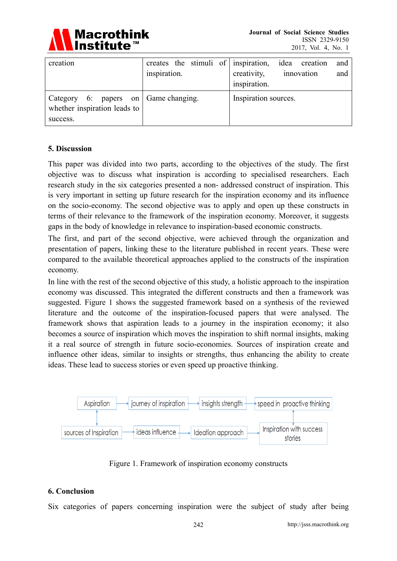

| creation                                      | creates the stimuli of inspiration, | idea creation<br>and             |
|-----------------------------------------------|-------------------------------------|----------------------------------|
|                                               | inspiration.                        | innovation<br>creativity,<br>and |
|                                               |                                     | inspiration.                     |
| Category $6:$<br>whether inspiration leads to | papers on   Game changing.          | Inspiration sources.             |
| success.                                      |                                     |                                  |

#### **5. Discussion**

This paper was divided into two parts, according to the objectives of the study. The first objective was to discuss what inspiration is according to specialised researchers. Each research study in the six categories presented a non- addressed construct of inspiration. This is very important in setting up future research for the inspiration economy and its influence on the socio-economy. The second objective was to apply and open up these constructs in terms of their relevance to the framework of the inspiration economy. Moreover, it suggests gaps in the body of knowledge in relevance to inspiration-based economic constructs.

The first, and part of the second objective, were achieved through the organization and presentation of papers, linking these to the literature published in recent years. These were compared to the available theoretical approaches applied to the constructs of the inspiration economy.

In line with the rest of the second objective of this study, a holistic approach to the inspiration economy was discussed. This integrated the different constructs and then a framework was suggested. Figure 1 shows the suggested framework based on a synthesis of the reviewed literature and the outcome of the inspiration-focused papers that were analysed. The framework shows that aspiration leads to a journey in the inspiration economy; it also becomes a source of inspiration which moves the inspiration to shift normal insights, making it a real source of strength in future socio-economies. Sources of inspiration create and influence other ideas, similar to insights or strengths, thus enhancing the ability to create ideas. These lead to success stories or even speed up proactive thinking.



Figure 1. Framework of inspiration economy constructs

## **6. Conclusion**

Six categories of papers concerning inspiration were the subject of study after being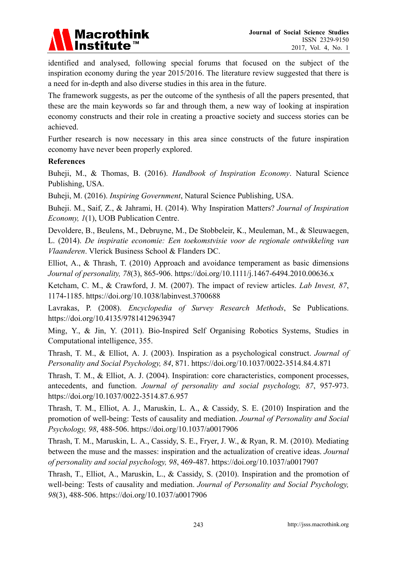

identified and analysed, following special forums that focused on the subject of the inspiration economy during the year 2015/2016. The literature review suggested that there is a need for in-depth and also diverse studies in this area in the future.

The framework suggests, as per the outcome of the synthesis of all the papers presented, that these are the main keywords so far and through them, a new way of looking at inspiration economy constructs and their role in creating a proactive society and success stories can be achieved.

Further research is now necessary in this area since constructs of the future inspiration economy have never been properly explored.

#### **References**

Buheji, M., & Thomas, B. (2016). *Handbook of Inspiration Economy*. Natural Science Publishing, USA.

Buheji, M. (2016). *Inspiring Government*, Natural Science Publishing, USA.

Buheji. M., Saif, Z., & Jahrami, H. (2014). Why Inspiration Matters? *Journal of Inspiration Economy, 1*(1), UOB Publication Centre.

Devoldere, B., Beulens, M., Debruyne, M., De Stobbeleir, K., Meuleman, M., & Sleuwaegen, L. (2014). *De inspiratie economie: Een toekomstvisie voor de regionale ontwikkeling van Vlaanderen*. Vlerick Business School & Flanders DC.

Elliot, A., & Thrash, T. (2010) Approach and avoidance temperament as basic dimensions *Journal of personality, 78*(3), 865-906. https://doi.org/10.1111/j.1467-6494.2010.00636.x

Ketcham, C. M., & Crawford, J. M. (2007). The impact of review articles. *Lab Invest, 87*, 1174-1185. https://doi.org/10.1038/labinvest.3700688

Lavrakas, P. (2008). *Encyclopedia of Survey Research Methods*, Se Publications. https://doi.org/10.4135/9781412963947

Ming, Y., & Jin, Y. (2011). Bio-Inspired Self Organising Robotics Systems, Studies in Computational intelligence, 355.

Thrash, T. M., & Elliot, A. J. (2003). Inspiration as a psychological construct. *Journal of Personality and Social Psychology, 84*, 871. https://doi.org/10.1037/0022-3514.84.4.871

Thrash, T. M., & Elliot, A. J. (2004). Inspiration: core characteristics, component processes, antecedents, and function. *Journal of personality and social psychology, 87*, 957-973. https://doi.org/10.1037/0022-3514.87.6.957

Thrash, T. M., Elliot, A. J., Maruskin, L. A., & Cassidy, S. E. (2010) Inspiration and the promotion of well-being: Tests of causality and mediation. *Journal of Personality and Social Psychology, 98*, 488-506. https://doi.org/10.1037/a0017906

Thrash, T. M., Maruskin, L. A., Cassidy, S. E., Fryer, J. W., & Ryan, R. M. (2010). Mediating between the muse and the masses: inspiration and the actualization of creative ideas. *Journal of personality and social psychology, 98*, 469-487. https://doi.org/10.1037/a0017907

Thrash, T., Elliot, A., Maruskin, L., & Cassidy, S. (2010). Inspiration and the promotion of well-being: Tests of causality and mediation. *Journal of Personality and Social Psychology, 98*(3), 488-506. https://doi.org/10.1037/a0017906